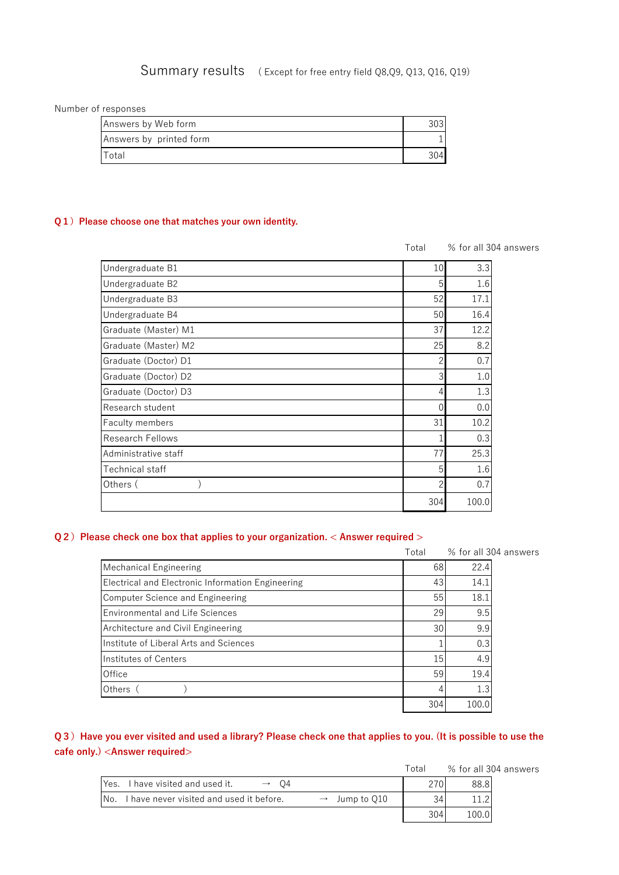# Summary results ( Except for free entry field Q8,Q9, Q13, Q16, Q19)

Number of responses

| Answers by Web form     |     |
|-------------------------|-----|
| Answers by printed form |     |
| Total                   | )41 |

#### **Q1)** Please choose one that matches your own identity.

|                         | Total          |       | % for all 304 answers |
|-------------------------|----------------|-------|-----------------------|
| Undergraduate B1        | 10             | 3.3   |                       |
| Undergraduate B2        | 5              | 1.6   |                       |
| Undergraduate B3        | 52             | 17.1  |                       |
| Undergraduate B4        | 50             | 16.4  |                       |
| Graduate (Master) M1    | 37             | 12.2  |                       |
| Graduate (Master) M2    | 25             | 8.2   |                       |
| Graduate (Doctor) D1    |                | 0.7   |                       |
| Graduate (Doctor) D2    |                | 1.0   |                       |
| Graduate (Doctor) D3    | 4              | 1.3   |                       |
| Research student        | $\overline{0}$ | 0.0   |                       |
| Faculty members         | 31             | 10.2  |                       |
| <b>Research Fellows</b> |                | 0.3   |                       |
| Administrative staff    | 77             | 25.3  |                       |
| Technical staff         | 5              | 1.6   |                       |
| Others (                |                | 0.7   |                       |
|                         | 304            | 100.0 |                       |

### **Q2)** Please check one box that applies to your organization. < Answer required >

|                                                   | Total |       | % for all 304 answers |
|---------------------------------------------------|-------|-------|-----------------------|
| Mechanical Engineering                            | 68    | 22.4  |                       |
| Electrical and Electronic Information Engineering | 43    | 14.1  |                       |
| <b>Computer Science and Engineering</b>           | 55    | 18.1  |                       |
| <b>Environmental and Life Sciences</b>            | 29    | 9.5   |                       |
| Architecture and Civil Engineering                | 30    | 9.9   |                       |
| Institute of Liberal Arts and Sciences            |       | 0.3   |                       |
| Institutes of Centers                             | 15    | 4.9   |                       |
| Office                                            | 59    | 19.4  |                       |
| Others                                            |       | 1.3   |                       |
|                                                   | 304   | 100.0 |                       |

# **Q3)Have you ever visited and used a library? Please check one that applies to you. (It is possible to use the cafe only.) <Answer required>**

Total % for all 304 answers

| Yes.              | I have visited and used it.<br>( )4                                    |     | 88.8I |
|-------------------|------------------------------------------------------------------------|-----|-------|
| IN <sub>o</sub> . | have never visited and used it before.<br>Jump to Q10<br>$\rightarrow$ |     |       |
|                   |                                                                        | 304 | 100.0 |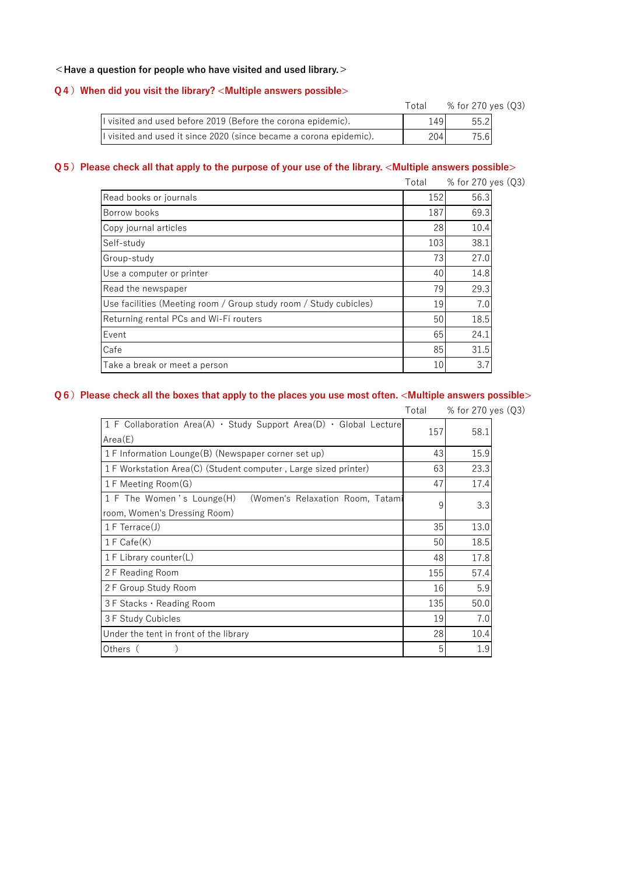### **<Have a question for people who have visited and used library.>**

#### **Q4)When did you visit the library? <Multiple answers possible>**

|                                                                    | Total | % for 270 yes (Q3) |
|--------------------------------------------------------------------|-------|--------------------|
| I visited and used before 2019 (Before the corona epidemic).       | 1491  | 55.2               |
| I visited and used it since 2020 (since became a corona epidemic). | 204   | 75.6               |

### **Q5)Please check all that apply to the purpose of your use of the library. <Multiple answers possible>**

| Total | % for 270 yes (Q3) |
|-------|--------------------|
| 152   | 56.3               |
| 187   | 69.3               |
| 28    | 10.4               |
| 103   | 38.1               |
| 73    | 27.0               |
| 40    | 14.8               |
| 79    | 29.3               |
|       | 7.0                |
| 50    | 18.5               |
| 65    | 24.1               |
|       | 31.5               |
| 10    | 3.7                |
|       | 19<br>85           |

## **Q6)Please check all the boxes that apply to the places you use most often. <Multiple answers possible>**

|                                                                                               | Total | % for 270 yes (Q3) |
|-----------------------------------------------------------------------------------------------|-------|--------------------|
| 1 F Collaboration Area(A) $\cdot$ Study Support Area(D) $\cdot$ Global Lecture<br>Area(E)     | 157   | 58.1               |
| 1 F Information Lounge(B) (Newspaper corner set up)                                           | 43    | 15.9               |
| 1 F Workstation Area(C) (Student computer, Large sized printer)                               | 63    | 23.3               |
| 1 F Meeting Room(G)                                                                           | 47    | 17.4               |
| 1 F The Women's Lounge(H)<br>(Women's Relaxation Room, Tatami<br>room, Women's Dressing Room) | 9     | 3.3                |
| $1 F$ Terrace $(J)$                                                                           | 35    | 13.0               |
| $1 F$ Cafe $(K)$                                                                              | 50    | 18.5               |
| 1 F Library counter(L)                                                                        | 48    | 17.8               |
| 2F Reading Room                                                                               | 155   | 57.4               |
| 2 F Group Study Room                                                                          | 16    | 5.9                |
| $3F$ Stacks $\cdot$ Reading Room                                                              | 135   | 50.0               |
| 3 F Study Cubicles                                                                            | 19    | 7.0                |
| Under the tent in front of the library                                                        | 28    | 10.4               |
| Others (                                                                                      | 5     | 1.9                |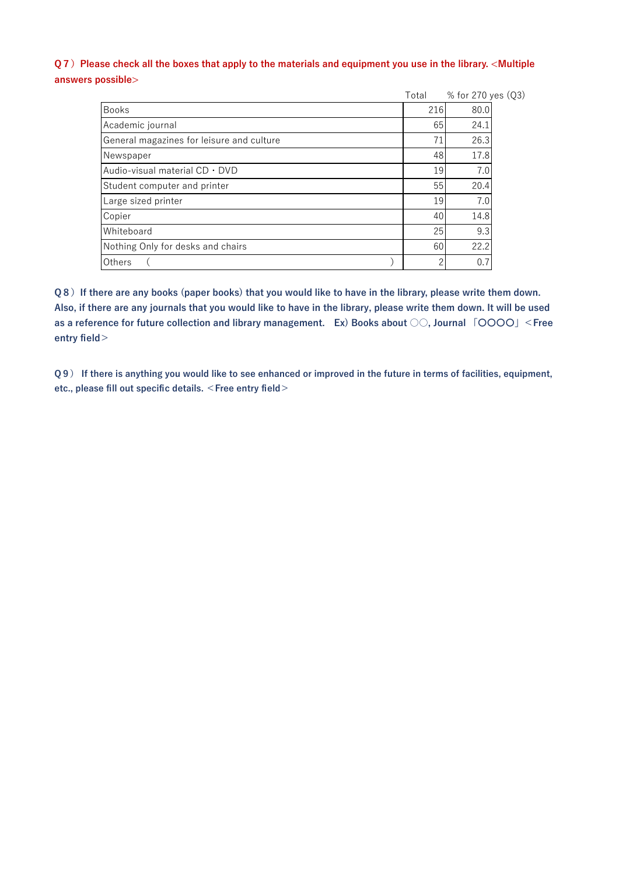## **Q7)Please check all the boxes that apply to the materials and equipment you use in the library. <Multiple answers possible>**

|                                           | Total | % for 270 yes (Q3) |
|-------------------------------------------|-------|--------------------|
| <b>Books</b>                              | 216   | 80.0               |
| Academic journal                          | 65    | 24.1               |
| General magazines for leisure and culture | 71    | 26.3               |
| Newspaper                                 | 48    | 17.8               |
| Audio-visual material CD · DVD            | 19    | 7.0                |
| Student computer and printer              | 55    | 20.4               |
| Large sized printer                       | 19    | 7.0                |
| Copier                                    | 40    | 14.8               |
| Whiteboard                                | 25    | 9.3                |
| Nothing Only for desks and chairs         | 60    | 22.2               |
| Others                                    | ာ     | $0.\overline{7}$   |

**Q8)If there are any books (paper books) that you would like to have in the library, please write them down. Also, if there are any journals that you would like to have in the library, please write them down. It will be used as a reference for future collection and library management. Ex) Books about ○○, Journal 「〇〇〇〇」<Free entry field>**

**Q9) If there is anything you would like to see enhanced or improved in the future in terms of facilities, equipment, etc., please fill out specific details. <Free entry field>**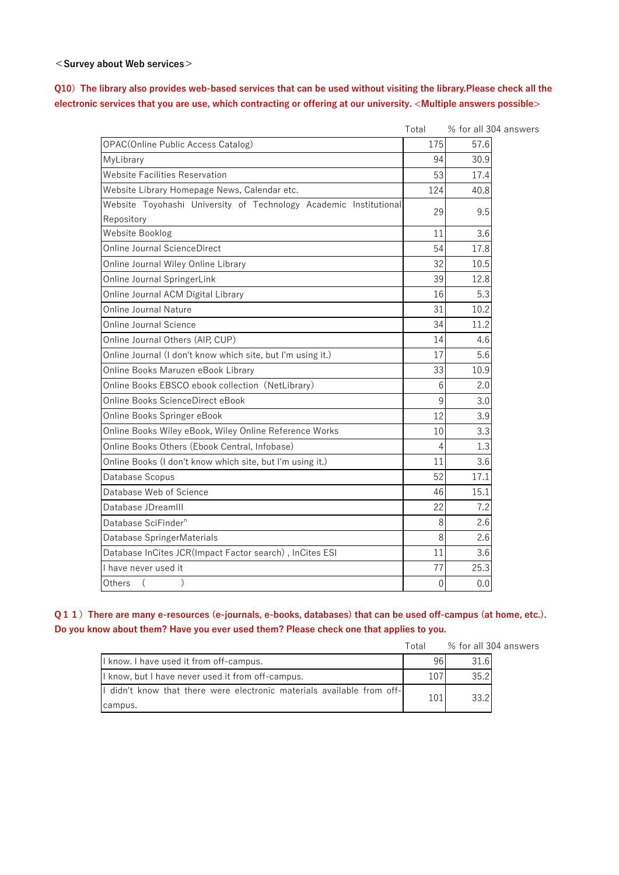#### **<Survey about Web services>**

## **Q10)The library also provides web-based services that can be used without visiting the library.Please check all the electronic services that you are use, which contracting or offering at our university. <Multiple answers possible>**

answers

|                                                                   | Total    | % for all 304 |
|-------------------------------------------------------------------|----------|---------------|
| <b>OPAC(Online Public Access Catalog)</b>                         | 175      | 57.6          |
| MyLibrary                                                         | 94       | 30.9          |
| <b>Website Facilities Reservation</b>                             | 53       | 17.4          |
| Website Library Homepage News, Calendar etc.                      | 124      | 40.8          |
| Website Toyohashi University of Technology Academic Institutional | 29       | 9.5           |
| Repository                                                        |          |               |
| Website Booklog                                                   | 11       | 3.6           |
| <b>Online Journal ScienceDirect</b>                               | 54       | 17.8          |
| Online Journal Wiley Online Library                               | 32       | 10.5          |
| Online Journal SpringerLink                                       | 39       | 12.8          |
| Online Journal ACM Digital Library                                | 16       | 5.3           |
| <b>Online Journal Nature</b>                                      | 31       | 10.2          |
| <b>Online Journal Science</b>                                     | 34       | 11.2          |
| Online Journal Others (AIP, CUP)                                  | 14       | 4.6           |
| Online Journal (I don't know which site, but I'm using it.)       | 17       | 5.6           |
| Online Books Maruzen eBook Library                                | 33       | 10.9          |
| Online Books EBSCO ebook collection (NetLibrary)                  | 6        | 2.0           |
| Online Books ScienceDirect eBook                                  | 9        | 3.0           |
| Online Books Springer eBook                                       | 12       | 3.9           |
| Online Books Wiley eBook, Wiley Online Reference Works            | 10       | 3.3           |
| Online Books Others (Ebook Central, Infobase)                     | 4        | 1.3           |
| Online Books (I don't know which site, but I'm using it.)         | 11       | 3.6           |
| Database Scopus                                                   | 52       | 17.1          |
| Database Web of Science                                           | 46       | 15.1          |
| Database JDreamIII                                                | 22       | 7.2           |
| Database SciFinder <sup>n</sup>                                   | 8        | 2.6           |
| Database SpringerMaterials                                        | 8        | 2.6           |
| Database InCites JCR(Impact Factor search), InCites ESI           | 11       | 3.6           |
| I have never used it                                              | 77       | 25.3          |
| Others                                                            | $\theta$ | 0.0           |

**Q11)There are many e-resources (e-journals, e-books, databases) that can be used off-campus (at home, etc.). Do you know about them? Have you ever used them? Please check one that applies to you.**

|                                                                                    | Total |      | % for all 304 answers |
|------------------------------------------------------------------------------------|-------|------|-----------------------|
| I know. I have used it from off-campus.                                            | 961   | 31.6 |                       |
| I know, but I have never used it from off-campus.                                  |       | 35.2 |                       |
| If didn't know that there were electronic materials available from off-<br>campus. | 101   | 33.2 |                       |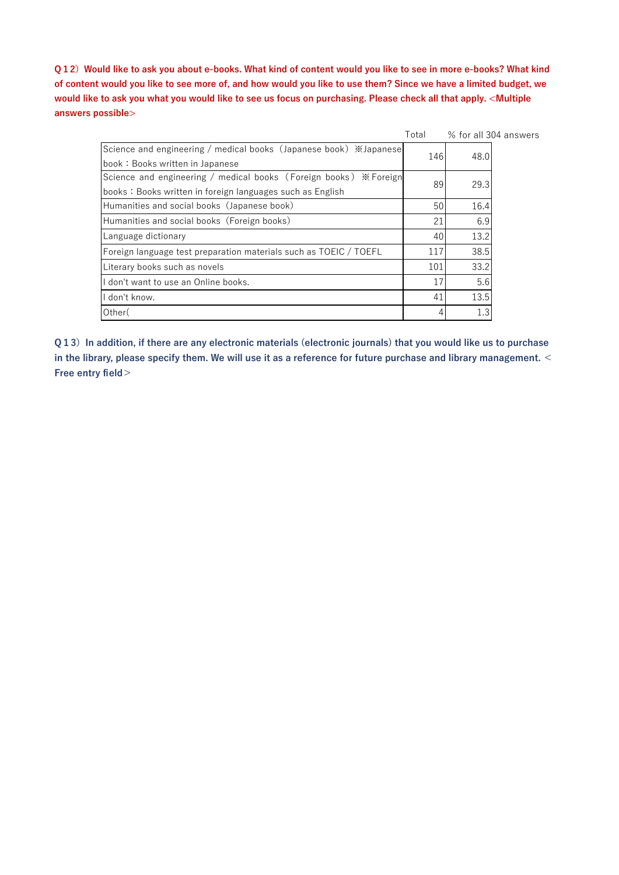**Q12)Would like to ask you about e-books. What kind of content would you like to see in more e-books? What kind of content would you like to see more of, and how would you like to use them? Since we have a limited budget, we would like to ask you what you would like to see us focus on purchasing. Please check all that apply. <Multiple answers possible>**

|                                                                   | Total |      | % for all 304 answers |
|-------------------------------------------------------------------|-------|------|-----------------------|
| Science and engineering / medical books (Japanese book) ※Japanese | 146   | 48.0 |                       |
| book: Books written in Japanese                                   |       |      |                       |
| Science and engineering / medical books (Foreign books) * Foreign | 89    | 29.3 |                       |
| books: Books written in foreign languages such as English         |       |      |                       |
| Humanities and social books (Japanese book)                       | 50    | 16.4 |                       |
| Humanities and social books (Foreign books)                       | 21    | 6.9  |                       |
| Language dictionary                                               | 40    | 13.2 |                       |
| Foreign language test preparation materials such as TOEIC / TOEFL | 117   | 38.5 |                       |
| Literary books such as novels                                     | 101   | 33.2 |                       |
| don't want to use an Online books.                                | 17    | 5.6  |                       |
| don't know.                                                       | 41    | 13.5 |                       |
| Other(                                                            | 4     | 1.3  |                       |

**Q13)In addition, if there are any electronic materials (electronic journals) that you would like us to purchase in the library, please specify them. We will use it as a reference for future purchase and library management. < Free entry field>**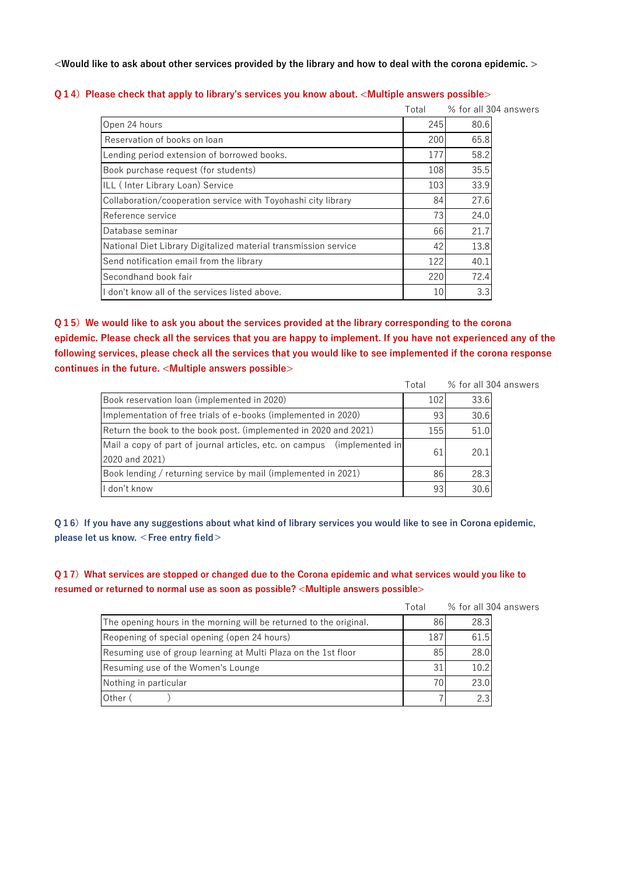**<Would like to ask about other services provided by the library and how to deal with the corona epidemic. >**

|                                                                 | Total |      | % for all 304 answers |
|-----------------------------------------------------------------|-------|------|-----------------------|
| Open 24 hours                                                   | 245   | 80.6 |                       |
| Reservation of books on loan                                    | 200   | 65.8 |                       |
| Lending period extension of borrowed books.                     | 177   | 58.2 |                       |
| Book purchase request (for students)                            | 108   | 35.5 |                       |
| ILL (Inter Library Loan) Service                                | 103   | 33.9 |                       |
| Collaboration/cooperation service with Toyohashi city library   | 84    | 27.6 |                       |
| Reference service                                               | 73    | 24.0 |                       |
| Database seminar                                                | 66    | 21.7 |                       |
| National Diet Library Digitalized material transmission service | 42    | 13.8 |                       |
| Send notification email from the library                        | 122   | 40.1 |                       |
| Secondhand book fair                                            | 220   | 72.4 |                       |
| don't know all of the services listed above.                    | 10    | 3.3  |                       |

#### **Q14)** Please check that apply to library's services you know about. <Multiple answers possible>

**Q15)We would like to ask you about the services provided at the library corresponding to the corona epidemic. Please check all the services that you are happy to implement. If you have not experienced any of the following services, please check all the services that you would like to see implemented if the corona response continues in the future. <Multiple answers possible>**

|                                                                            | Total           |      | % for all 304 answers |
|----------------------------------------------------------------------------|-----------------|------|-----------------------|
| Book reservation loan (implemented in 2020)                                | 102             | 33.6 |                       |
| Implementation of free trials of e-books (implemented in 2020)             | 93              | 30.6 |                       |
| Return the book to the book post. (implemented in 2020 and 2021)           | 155             | 51.0 |                       |
| Mail a copy of part of journal articles, etc. on campus<br>(implemented in | 61              | 20.1 |                       |
| 2020 and 2021)                                                             |                 |      |                       |
| Book lending / returning service by mail (implemented in 2021)             | 86              | 28.3 |                       |
| I don't know                                                               | 93 <sub>l</sub> | 30.6 |                       |

**Q16)If you have any suggestions about what kind of library services you would like to see in Corona epidemic, please let us know. <Free entry field>**

**Q17)What services are stopped or changed due to the Corona epidemic and what services would you like to resumed or returned to normal use as soon as possible? <Multiple answers possible>**

|                                                                    | Total |      | % for all 304 answers |
|--------------------------------------------------------------------|-------|------|-----------------------|
| The opening hours in the morning will be returned to the original. | 86    | 28.3 |                       |
| Reopening of special opening (open 24 hours)                       | 187   | 61.5 |                       |
| Resuming use of group learning at Multi Plaza on the 1st floor     | 85    | 28.0 |                       |
| Resuming use of the Women's Lounge                                 | 31    | 10.2 |                       |
| Nothing in particular                                              |       | 23.0 |                       |
| Other                                                              |       | 2.3  |                       |